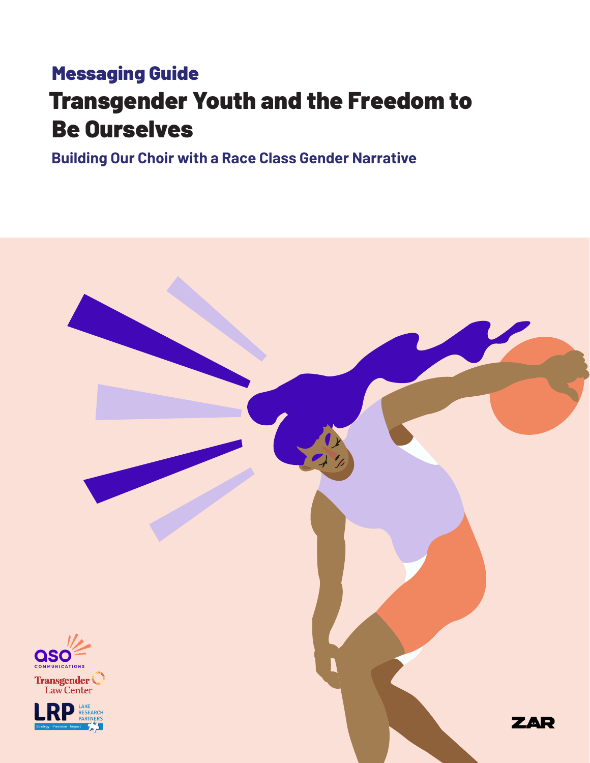## Transgender Youth and the Freedom to Be Ourselves Messaging Guide

**Building Our Choir with a Race Class Gender Narrative**

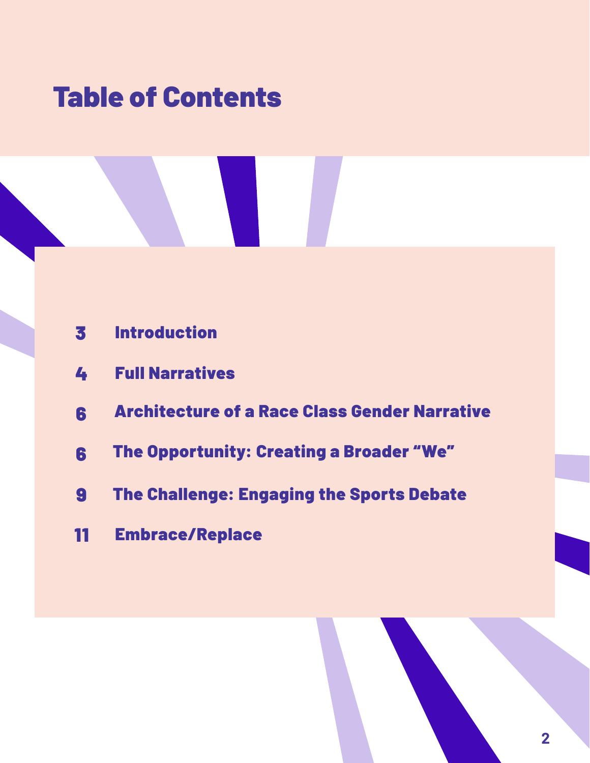# Table of Contents

- Introduction
- Full Narratives
- Architecture of a Race Class Gender Narrative
- The Opportunity: Creating a Broader "We"
- The Challenge: Engaging the Sports Debate
- Embrace/Replace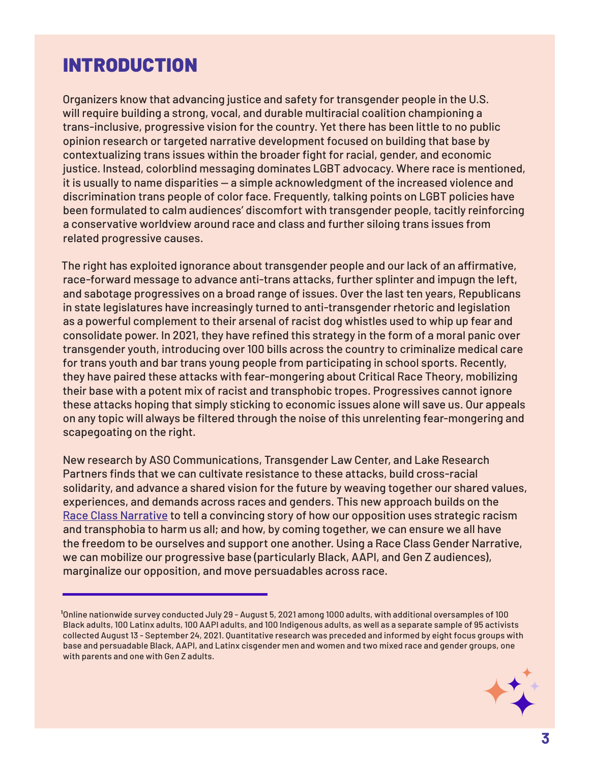#### INTRODUCTION

Organizers know that advancing justice and safety for transgender people in the U.S. will require building a strong, vocal, and durable multiracial coalition championing a trans-inclusive, progressive vision for the country. Yet there has been little to no public opinion research or targeted narrative development focused on building that base by contextualizing trans issues within the broader fight for racial, gender, and economic justice. Instead, colorblind messaging dominates LGBT advocacy. Where race is mentioned, it is usually to name disparities — a simple acknowledgment of the increased violence and discrimination trans people of color face. Frequently, talking points on LGBT policies have been formulated to calm audiences' discomfort with transgender people, tacitly reinforcing a conservative worldview around race and class and further siloing trans issues from related progressive causes.

The right has exploited ignorance about transgender people and our lack of an affirmative, race-forward message to advance anti-trans attacks, further splinter and impugn the left, and sabotage progressives on a broad range of issues. Over the last ten years, Republicans in state legislatures have increasingly turned to anti-transgender rhetoric and legislation as a powerful complement to their arsenal of racist dog whistles used to whip up fear and consolidate power. In 2021, they have refined this strategy in the form of a moral panic over transgender youth, introducing over 100 bills across the country to criminalize medical care for trans youth and bar trans young people from participating in school sports. Recently, they have paired these attacks with fear-mongering about Critical Race Theory, mobilizing their base with a potent mix of racist and transphobic tropes. Progressives cannot ignore these attacks hoping that simply sticking to economic issues alone will save us. Our appeals on any topic will always be filtered through the noise of this unrelenting fear-mongering and scapegoating on the right.

New research by ASO Communications, Transgender Law Center, and Lake Research Partners finds that we can cultivate resistance to these attacks, build cross-racial solidarity, and advance a shared vision for the future by weaving together our shared values, experiences, and demands across races and genders. This new approach builds on the [Race Class Narrative](https://docs.google.com/document/d/1AALVvzLIj1v69bplTtTcqMJWj1LWwoJqQLTGYfUeGH4/edit) to tell a convincing story of how our opposition uses strategic racism and transphobia to harm us all; and how, by coming together, we can ensure we all have the freedom to be ourselves and support one another. Using a Race Class Gender Narrative, we can mobilize our progressive base (particularly Black, AAPI, and Gen Z audiences), marginalize our opposition, and move persuadables across race.

**¹**Online nationwide survey conducted July 29 - August 5, 2021 among 1000 adults, with additional oversamples of 100 Black adults, 100 Latinx adults, 100 AAPI adults, and 100 Indigenous adults, as well as a separate sample of 95 activists collected August 13 - September 24, 2021. Quantitative research was preceded and informed by eight focus groups with base and persuadable Black, AAPI, and Latinx cisgender men and women and two mixed race and gender groups, one with parents and one with Gen Z adults.

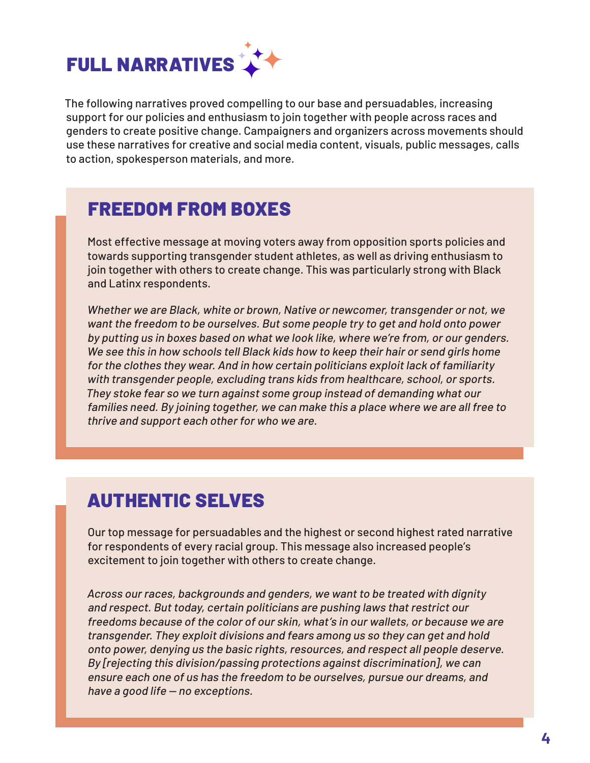

The following narratives proved compelling to our base and persuadables, increasing support for our policies and enthusiasm to join together with people across races and genders to create positive change. Campaigners and organizers across movements should use these narratives for creative and social media content, visuals, public messages, calls to action, spokesperson materials, and more.

#### FREEDOM FROM BOXES

Most effective message at moving voters away from opposition sports policies and towards supporting transgender student athletes, as well as driving enthusiasm to join together with others to create change. This was particularly strong with Black and Latinx respondents.

Whether we are Black, white or brown, Native or newcomer, transgender or not, we want the freedom to be ourselves. But some people try to get and hold onto power by putting us in boxes based on what we look like, where we're from, or our genders. We see this in how schools tell Black kids how to keep their hair or send girls home for the clothes they wear. And in how certain politicians exploit lack of familiarity with transgender people, excluding trans kids from healthcare, school, or sports. They stoke fear so we turn against some group instead of demanding what our families need. By joining together, we can make this a place where we are all free to thrive and support each other for who we are.

#### AUTHENTIC SELVES

Our top message for persuadables and the highest or second highest rated narrative for respondents of every racial group. This message also increased people's excitement to join together with others to create change.

Across our races, backgrounds and genders, we want to be treated with dignity and respect. But today, certain politicians are pushing laws that restrict our freedoms because of the color of our skin, what's in our wallets, or because we are transgender. They exploit divisions and fears among us so they can get and hold onto power, denying us the basic rights, resources, and respect all people deserve. By [rejecting this division/passing protections against discrimination], we can ensure each one of us has the freedom to be ourselves, pursue our dreams, and have a good life — no exceptions.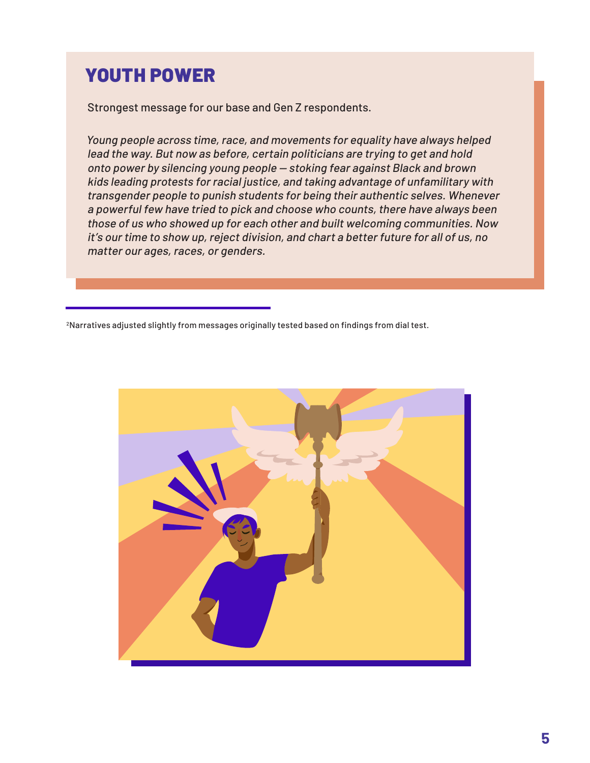#### YOUTH POWER

Strongest message for our base and Gen Z respondents.

Young people across time, race, and movements for equality have always helped lead the way. But now as before, certain politicians are trying to get and hold onto power by silencing young people — stoking fear against Black and brown kids leading protests for racial justice, and taking advantage of unfamilitary with transgender people to punish students for being their authentic selves. Whenever a powerful few have tried to pick and choose who counts, there have always been those of us who showed up for each other and built welcoming communities. Now it's our time to show up, reject division, and chart a better future for all of us, no matter our ages, races, or genders.

2Narratives adjusted slightly from messages originally tested based on findings from dial test.

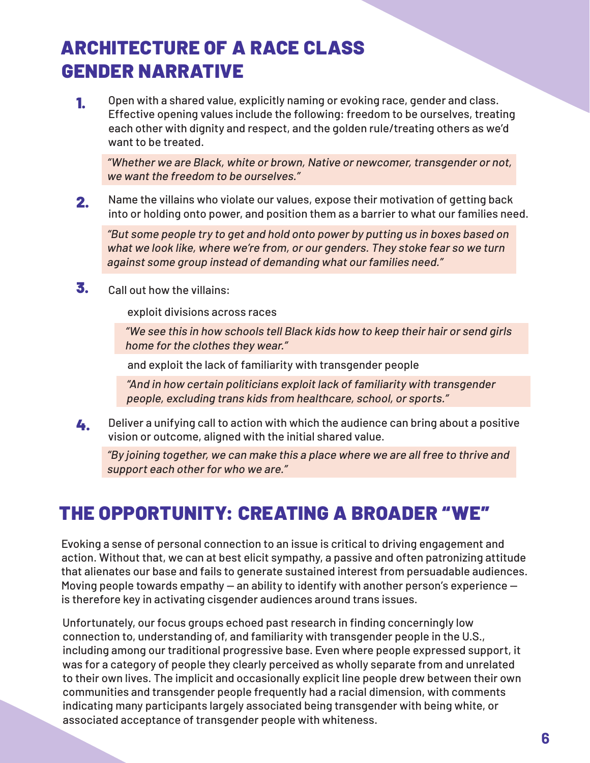#### ARCHITECTURE OF A RACE CLASS GENDER NARRATIVE

1. Open with a shared value, explicitly naming or evoking race, gender and class. Effective opening values include the following: freedom to be ourselves, treating each other with dignity and respect, and the golden rule/treating others as we'd want to be treated.

"Whether we are Black, white or brown, Native or newcomer, transgender or not, we want the freedom to be ourselves."

2. Name the villains who violate our values, expose their motivation of getting back into or holding onto power, and position them as a barrier to what our families need.

"But some people try to get and hold onto power by putting us in boxes based on what we look like, where we're from, or our genders. They stoke fear so we turn against some group instead of demanding what our families need."

 $\overline{\mathbf{3}}$ . Call out how the villains:

exploit divisions across races

"We see this in how schools tell Black kids how to keep their hair or send girls home for the clothes they wear."

and exploit the lack of familiarity with transgender people

"And in how certain politicians exploit lack of familiarity with transgender people, excluding trans kids from healthcare, school, or sports."

4. Deliver a unifying call to action with which the audience can bring about a positive vision or outcome, aligned with the initial shared value.

"By joining together, we can make this a place where we are all free to thrive and support each other for who we are."

### THE OPPORTUNITY: CREATING A BROADER "WE"

Evoking a sense of personal connection to an issue is critical to driving engagement and action. Without that, we can at best elicit sympathy, a passive and often patronizing attitude that alienates our base and fails to generate sustained interest from persuadable audiences. Moving people towards empathy — an ability to identify with another person's experience is therefore key in activating cisgender audiences around trans issues.

Unfortunately, our focus groups echoed past research in finding concerningly low connection to, understanding of, and familiarity with transgender people in the U.S., including among our traditional progressive base. Even where people expressed support, it was for a category of people they clearly perceived as wholly separate from and unrelated to their own lives. The implicit and occasionally explicit line people drew between their own communities and transgender people frequently had a racial dimension, with comments indicating many participants largely associated being transgender with being white, or associated acceptance of transgender people with whiteness.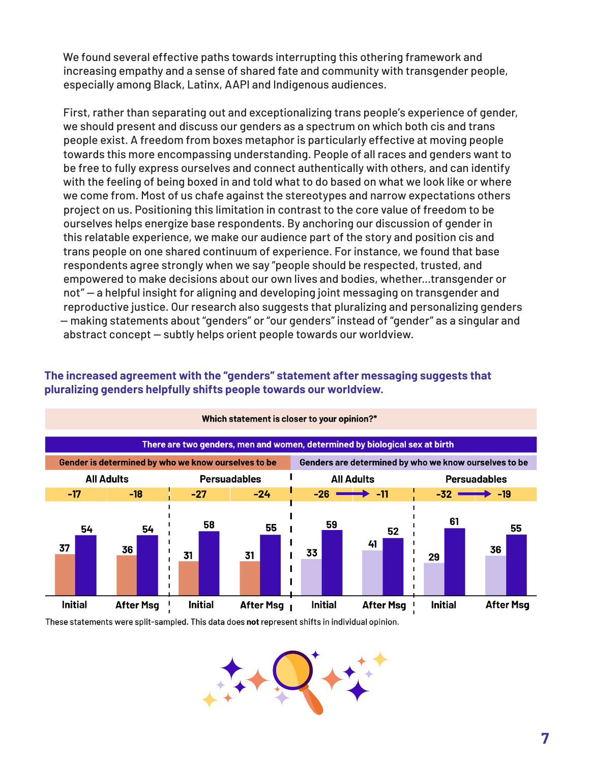We found several effective paths towards interrupting this othering framework and increasing empathy and a sense of shared fate and community with transgender people, especially among Black, Latinx, AAPI and Indigenous audiences.

First, rather than separating out and exceptionalizing trans people's experience of gender, we should present and discuss our genders as a spectrum on which both cis and trans people exist. A freedom from boxes metaphor is particularly effective at moving people towards this more encompassing understanding. People of all races and genders want to be free to fully express ourselves and connect authentically with others, and can identify with the feeling of being boxed in and told what to do based on what we look like or where we come from. Most of us chafe against the stereotypes and narrow expectations others project on us. Positioning this limitation in contrast to the core value of freedom to be ourselves helps energize base respondents. By anchoring our discussion of gender in this relatable experience, we make our audience part of the story and position cis and trans people on one shared continuum of experience. For instance, we found that base respondents agree strongly when we say "people should be respected, trusted, and empowered to make decisions about our own lives and bodies, whether...transgender or not" — a helpful insight for aligning and developing joint messaging on transgender and reproductive justice. Our research also suggests that pluralizing and personalizing genders — making statements about "genders" or "our genders" instead of "gender" as a singular and abstract concept — subtly helps orient people towards our worldview.



#### **The increased agreement with the "genders" statement after messaging suggests that pluralizing genders helpfully shifts people towards our worldview.**

These statements were split-sampled. This data does not represent shifts in individual opinion.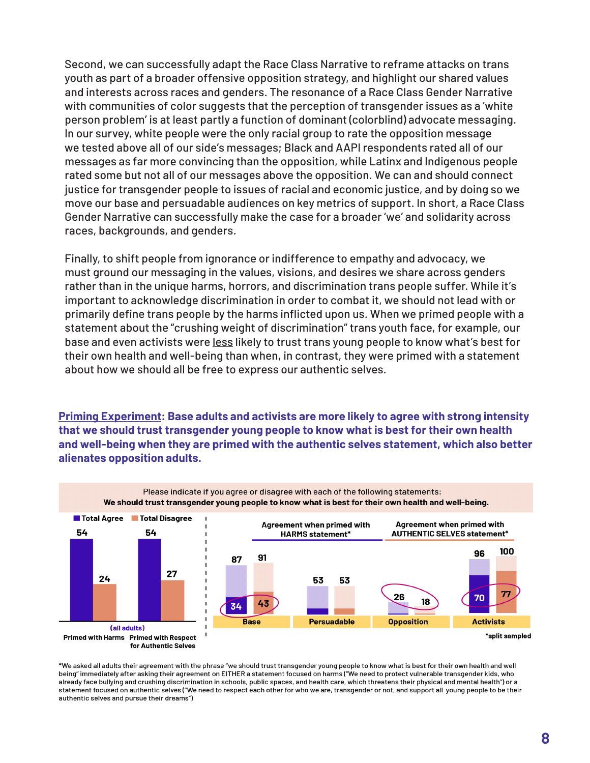Second, we can successfully adapt the Race Class Narrative to reframe attacks on trans youth as part of a broader offensive opposition strategy, and highlight our shared values and interests across races and genders. The resonance of a Race Class Gender Narrative with communities of color suggests that the perception of transgender issues as a 'white person problem' is at least partly a function of dominant (colorblind) advocate messaging. In our survey, white people were the only racial group to rate the opposition message we tested above all of our side's messages; Black and AAPI respondents rated all of our messages as far more convincing than the opposition, while Latinx and Indigenous people rated some but not all of our messages above the opposition. We can and should connect justice for transgender people to issues of racial and economic justice, and by doing so we move our base and persuadable audiences on key metrics of support. In short, a Race Class Gender Narrative can successfully make the case for a broader 'we' and solidarity across races, backgrounds, and genders.

Finally, to shift people from ignorance or indifference to empathy and advocacy, we must ground our messaging in the values, visions, and desires we share across genders rather than in the unique harms, horrors, and discrimination trans people suffer. While it's important to acknowledge discrimination in order to combat it, we should not lead with or primarily define trans people by the harms inflicted upon us. When we primed people with a statement about the "crushing weight of discrimination" trans youth face, for example, our base and even activists were less likely to trust trans young people to know what's best for their own health and well-being than when, in contrast, they were primed with a statement about how we should all be free to express our authentic selves.

**Priming Experiment: Base adults and activists are more likely to agree with strong intensity that we should trust transgender young people to know what is best for their own health and well-being when they are primed with the authentic selves statement, which also better alienates opposition adults.**



\*We asked all adults their agreement with the phrase "we should trust transgender young people to know what is best for their own health and well being" immediately after asking their agreement on EITHER a statement focused on harms ("We need to protect vulnerable transgender kids, who already face bullying and crushing discrimination in schools, public spaces, and health care, which threatens their physical and mental health") or a statement focused on authentic selves ("We need to respect each other for who we are, transgender or not, and support all young people to be their authentic selves and pursue their dreams")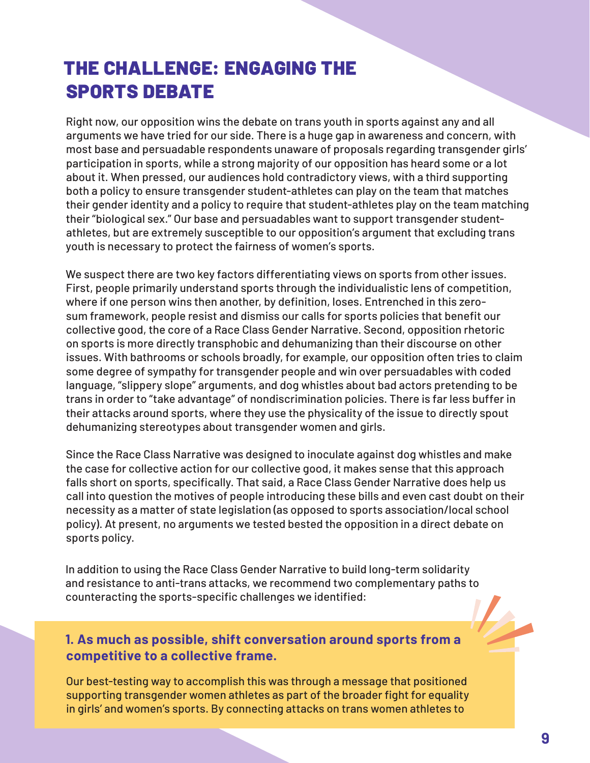#### THE CHALLENGE: ENGAGING THE SPORTS DEBATE

Right now, our opposition wins the debate on trans youth in sports against any and all arguments we have tried for our side. There is a huge gap in awareness and concern, with most base and persuadable respondents unaware of proposals regarding transgender girls' participation in sports, while a strong majority of our opposition has heard some or a lot about it. When pressed, our audiences hold contradictory views, with a third supporting both a policy to ensure transgender student-athletes can play on the team that matches their gender identity and a policy to require that student-athletes play on the team matching their "biological sex." Our base and persuadables want to support transgender studentathletes, but are extremely susceptible to our opposition's argument that excluding trans youth is necessary to protect the fairness of women's sports.

We suspect there are two key factors differentiating views on sports from other issues. First, people primarily understand sports through the individualistic lens of competition, where if one person wins then another, by definition, loses. Entrenched in this zerosum framework, people resist and dismiss our calls for sports policies that benefit our collective good, the core of a Race Class Gender Narrative. Second, opposition rhetoric on sports is more directly transphobic and dehumanizing than their discourse on other issues. With bathrooms or schools broadly, for example, our opposition often tries to claim some degree of sympathy for transgender people and win over persuadables with coded language, "slippery slope" arguments, and dog whistles about bad actors pretending to be trans in order to "take advantage" of nondiscrimination policies. There is far less buffer in their attacks around sports, where they use the physicality of the issue to directly spout dehumanizing stereotypes about transgender women and girls.

Since the Race Class Narrative was designed to inoculate against dog whistles and make the case for collective action for our collective good, it makes sense that this approach falls short on sports, specifically. That said, a Race Class Gender Narrative does help us call into question the motives of people introducing these bills and even cast doubt on their necessity as a matter of state legislation (as opposed to sports association/local school policy). At present, no arguments we tested bested the opposition in a direct debate on sports policy.

In addition to using the Race Class Gender Narrative to build long-term solidarity and resistance to anti-trans attacks, we recommend two complementary paths to counteracting the sports-specific challenges we identified:

#### **1. As much as possible, shift conversation around sports from a competitive to a collective frame.**

Our best-testing way to accomplish this was through a message that positioned supporting transgender women athletes as part of the broader fight for equality in girls' and women's sports. By connecting attacks on trans women athletes to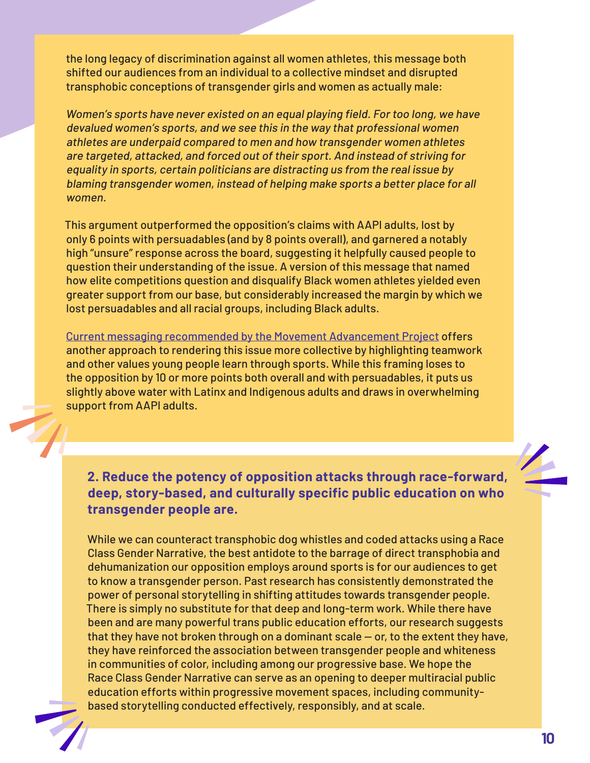the long legacy of discrimination against all women athletes, this message both shifted our audiences from an individual to a collective mindset and disrupted transphobic conceptions of transgender girls and women as actually male:

Women's sports have never existed on an equal playing field. For too long, we have devalued women's sports, and we see this in the way that professional women athletes are underpaid compared to men and how transgender women athletes are targeted, attacked, and forced out of their sport. And instead of striving for equality in sports, certain politicians are distracting us from the real issue by blaming transgender women, instead of helping make sports a better place for all women.

This argument outperformed the opposition's claims with AAPI adults, lost by only 6 points with persuadables (and by 8 points overall), and garnered a notably high "unsure" response across the board, suggesting it helpfully caused people to question their understanding of the issue. A version of this message that named how elite competitions question and disqualify Black women athletes yielded even greater support from our base, but considerably increased the margin by which we lost persuadables and all racial groups, including Black adults.

[Current messaging recommended by the Movement Advancement Project](https://www.lgbtmap.org/talking-about-transgender-youth-participation-in-sports) offers another approach to rendering this issue more collective by highlighting teamwork and other values young people learn through sports. While this framing loses to the opposition by 10 or more points both overall and with persuadables, it puts us slightly above water with Latinx and Indigenous adults and draws in overwhelming support from AAPI adults.

**2. Reduce the potency of opposition attacks through race-forward, deep, story-based, and culturally specific public education on who transgender people are.**

While we can counteract transphobic dog whistles and coded attacks using a Race Class Gender Narrative, the best antidote to the barrage of direct transphobia and dehumanization our opposition employs around sports is for our audiences to get to know a transgender person. Past research has consistently demonstrated the power of personal storytelling in shifting attitudes towards transgender people. There is simply no substitute for that deep and long-term work. While there have been and are many powerful trans public education efforts, our research suggests that they have not broken through on a dominant scale — or, to the extent they have, they have reinforced the association between transgender people and whiteness in communities of color, including among our progressive base. We hope the Race Class Gender Narrative can serve as an opening to deeper multiracial public education efforts within progressive movement spaces, including communitybased storytelling conducted effectively, responsibly, and at scale.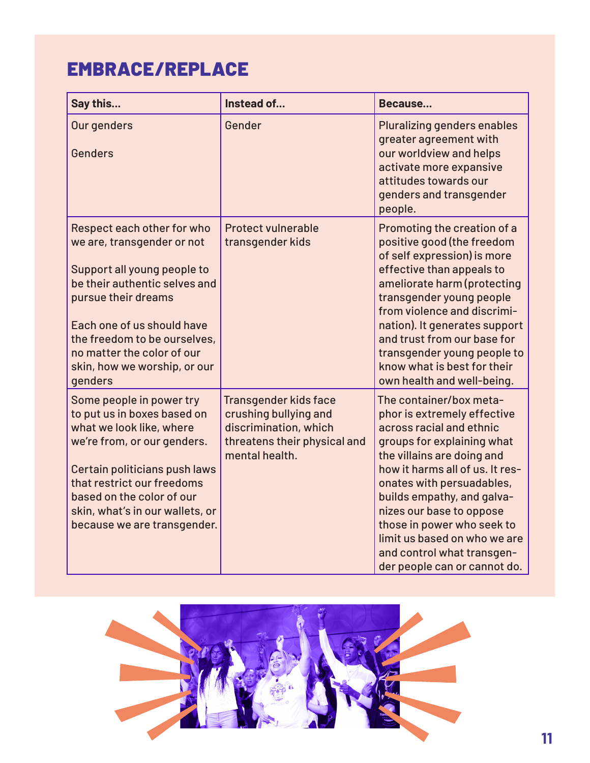### EMBRACE/REPLACE

| Say this                                                                                                                                                                                                                                                                               | Instead of                                                                                                                       | Because                                                                                                                                                                                                                                                                                                                                                                                              |
|----------------------------------------------------------------------------------------------------------------------------------------------------------------------------------------------------------------------------------------------------------------------------------------|----------------------------------------------------------------------------------------------------------------------------------|------------------------------------------------------------------------------------------------------------------------------------------------------------------------------------------------------------------------------------------------------------------------------------------------------------------------------------------------------------------------------------------------------|
| Our genders<br>Genders                                                                                                                                                                                                                                                                 | Gender                                                                                                                           | Pluralizing genders enables<br>greater agreement with<br>our worldview and helps<br>activate more expansive<br>attitudes towards our<br>genders and transgender<br>people.                                                                                                                                                                                                                           |
| Respect each other for who<br>we are, transgender or not<br>Support all young people to<br>be their authentic selves and<br>pursue their dreams<br>Each one of us should have<br>the freedom to be ourselves,<br>no matter the color of our<br>skin, how we worship, or our<br>genders | <b>Protect vulnerable</b><br>transgender kids                                                                                    | Promoting the creation of a<br>positive good (the freedom<br>of self expression) is more<br>effective than appeals to<br>ameliorate harm (protecting<br>transgender young people<br>from violence and discrimi-<br>nation). It generates support<br>and trust from our base for<br>transgender young people to<br>know what is best for their<br>own health and well-being.                          |
| Some people in power try<br>to put us in boxes based on<br>what we look like, where<br>we're from, or our genders.<br>Certain politicians push laws<br>that restrict our freedoms<br>based on the color of our<br>skin, what's in our wallets, or<br>because we are transgender.       | <b>Transgender kids face</b><br>crushing bullying and<br>discrimination, which<br>threatens their physical and<br>mental health. | The container/box meta-<br>phor is extremely effective<br>across racial and ethnic<br>groups for explaining what<br>the villains are doing and<br>how it harms all of us. It res-<br>onates with persuadables,<br>builds empathy, and galva-<br>nizes our base to oppose<br>those in power who seek to<br>limit us based on who we are<br>and control what transgen-<br>der people can or cannot do. |

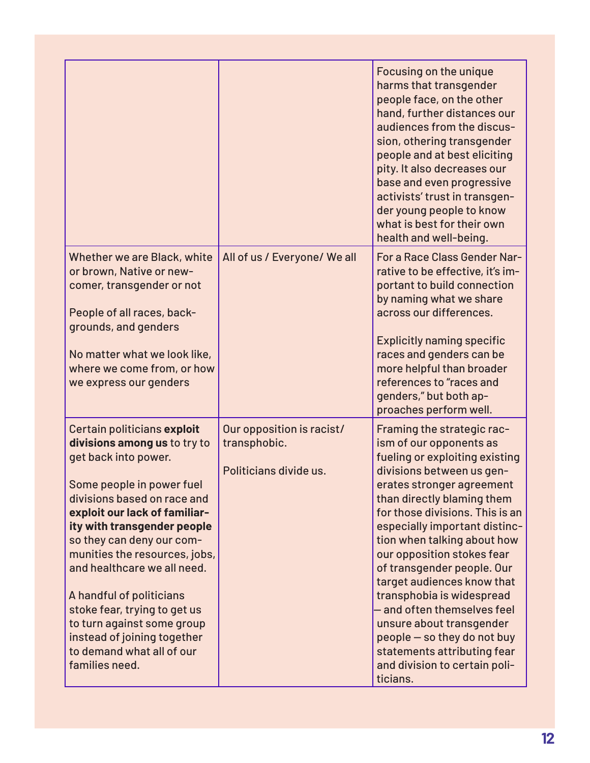|                                                                                                                                                                                                                                                                                                                                                                                                                                                                                      |                                                                     | Focusing on the unique<br>harms that transgender<br>people face, on the other<br>hand, further distances our<br>audiences from the discus-<br>sion, othering transgender<br>people and at best eliciting<br>pity. It also decreases our<br>base and even progressive<br>activists' trust in transgen-<br>der young people to know<br>what is best for their own<br>health and well-being.                                                                                                                                                                                       |
|--------------------------------------------------------------------------------------------------------------------------------------------------------------------------------------------------------------------------------------------------------------------------------------------------------------------------------------------------------------------------------------------------------------------------------------------------------------------------------------|---------------------------------------------------------------------|---------------------------------------------------------------------------------------------------------------------------------------------------------------------------------------------------------------------------------------------------------------------------------------------------------------------------------------------------------------------------------------------------------------------------------------------------------------------------------------------------------------------------------------------------------------------------------|
| Whether we are Black, white<br>or brown, Native or new-<br>comer, transgender or not<br>People of all races, back-<br>grounds, and genders<br>No matter what we look like,<br>where we come from, or how<br>we express our genders                                                                                                                                                                                                                                                   | All of us / Everyone/ We all                                        | For a Race Class Gender Nar-<br>rative to be effective, it's im-<br>portant to build connection<br>by naming what we share<br>across our differences.<br><b>Explicitly naming specific</b><br>races and genders can be<br>more helpful than broader<br>references to "races and<br>genders," but both ap-<br>proaches perform well.                                                                                                                                                                                                                                             |
| Certain politicians exploit<br>divisions among us to try to<br>get back into power.<br>Some people in power fuel<br>divisions based on race and<br>exploit our lack of familiar-<br>ity with transgender people<br>so they can deny our com-<br>munities the resources, jobs,<br>and healthcare we all need.<br>A handful of politicians<br>stoke fear, trying to get us<br>to turn against some group<br>instead of joining together<br>to demand what all of our<br>families need. | Our opposition is racist/<br>transphobic.<br>Politicians divide us. | Framing the strategic rac-<br>ism of our opponents as<br>fueling or exploiting existing<br>divisions between us gen-<br>erates stronger agreement<br>than directly blaming them<br>for those divisions. This is an<br>especially important distinc-<br>tion when talking about how<br>our opposition stokes fear<br>of transgender people. Our<br>target audiences know that<br>transphobia is widespread<br>- and often themselves feel<br>unsure about transgender<br>people - so they do not buy<br>statements attributing fear<br>and division to certain poli-<br>ticians. |